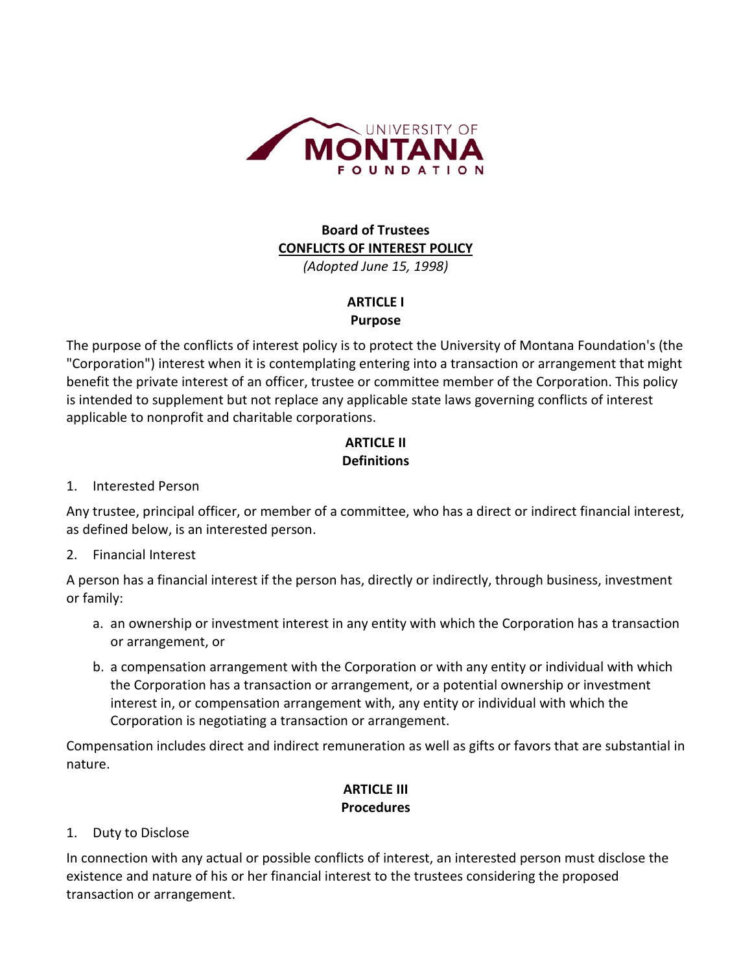

# **Board of Trustees CONFLICTS OF INTEREST POLICY**

*(Adopted June 15, 1998)*

### **ARTICLE I Purpose**

The purpose of the conflicts of interest policy is to protect the University of Montana Foundation's (the "Corporation") interest when it is contemplating entering into a transaction or arrangement that might benefit the private interest of an officer, trustee or committee member of the Corporation. This policy is intended to supplement but not replace any applicable state laws governing conflicts of interest applicable to nonprofit and charitable corporations.

# **ARTICLE II Definitions**

#### 1. Interested Person

Any trustee, principal officer, or member of a committee, who has a direct or indirect financial interest, as defined below, is an interested person.

2. Financial Interest

A person has a financial interest if the person has, directly or indirectly, through business, investment or family:

- a. an ownership or investment interest in any entity with which the Corporation has a transaction or arrangement, or
- b. a compensation arrangement with the Corporation or with any entity or individual with which the Corporation has a transaction or arrangement, or a potential ownership or investment interest in, or compensation arrangement with, any entity or individual with which the Corporation is negotiating a transaction or arrangement.

Compensation includes direct and indirect remuneration as well as gifts or favors that are substantial in nature.

### **ARTICLE III Procedures**

#### 1. Duty to Disclose

In connection with any actual or possible conflicts of interest, an interested person must disclose the existence and nature of his or her financial interest to the trustees considering the proposed transaction or arrangement.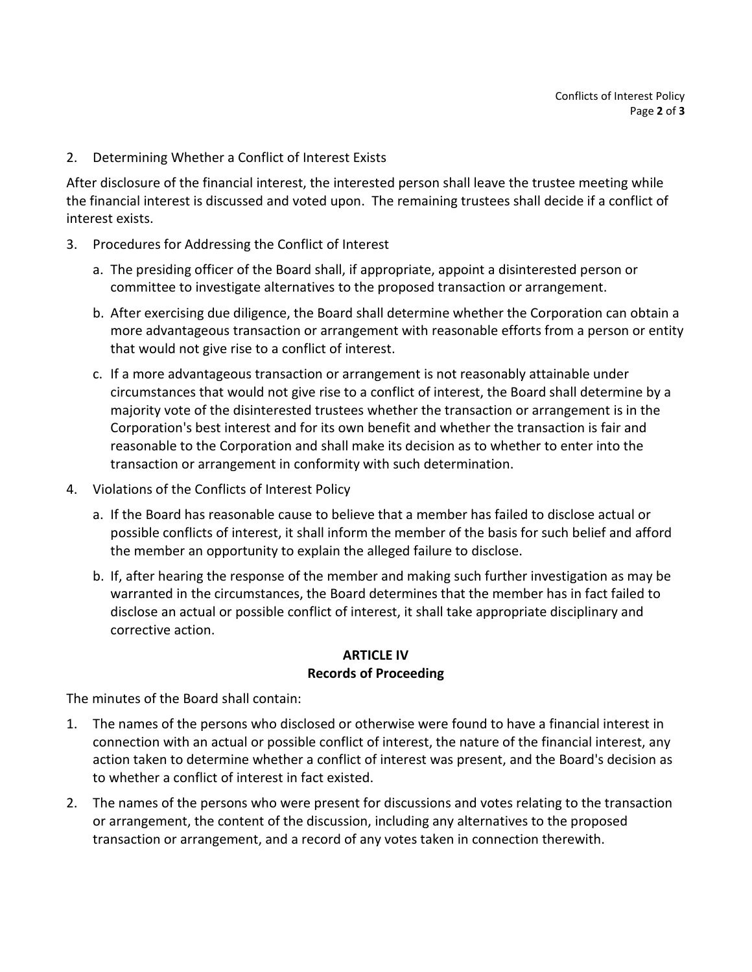2. Determining Whether a Conflict of Interest Exists

After disclosure of the financial interest, the interested person shall leave the trustee meeting while the financial interest is discussed and voted upon. The remaining trustees shall decide if a conflict of interest exists.

- 3. Procedures for Addressing the Conflict of Interest
	- a. The presiding officer of the Board shall, if appropriate, appoint a disinterested person or committee to investigate alternatives to the proposed transaction or arrangement.
	- b. After exercising due diligence, the Board shall determine whether the Corporation can obtain a more advantageous transaction or arrangement with reasonable efforts from a person or entity that would not give rise to a conflict of interest.
	- c. If a more advantageous transaction or arrangement is not reasonably attainable under circumstances that would not give rise to a conflict of interest, the Board shall determine by a majority vote of the disinterested trustees whether the transaction or arrangement is in the Corporation's best interest and for its own benefit and whether the transaction is fair and reasonable to the Corporation and shall make its decision as to whether to enter into the transaction or arrangement in conformity with such determination.
- 4. Violations of the Conflicts of Interest Policy
	- a. If the Board has reasonable cause to believe that a member has failed to disclose actual or possible conflicts of interest, it shall inform the member of the basis for such belief and afford the member an opportunity to explain the alleged failure to disclose.
	- b. If, after hearing the response of the member and making such further investigation as may be warranted in the circumstances, the Board determines that the member has in fact failed to disclose an actual or possible conflict of interest, it shall take appropriate disciplinary and corrective action.

#### **ARTICLE IV Records of Proceeding**

The minutes of the Board shall contain:

- 1. The names of the persons who disclosed or otherwise were found to have a financial interest in connection with an actual or possible conflict of interest, the nature of the financial interest, any action taken to determine whether a conflict of interest was present, and the Board's decision as to whether a conflict of interest in fact existed.
- 2. The names of the persons who were present for discussions and votes relating to the transaction or arrangement, the content of the discussion, including any alternatives to the proposed transaction or arrangement, and a record of any votes taken in connection therewith.